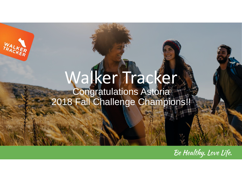### Walker Tracker Congratulations Astoria 2018 Fall Challenge Champions!!

Be Healthy. Love Life.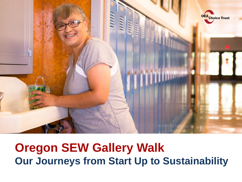

#### **Oregon SEW Gallery Walk Our Journeys from Start Up to Sustainability**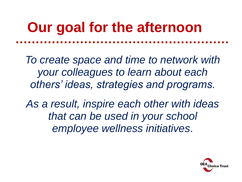# **Our goal for the afternoon**

*To create space and time to network with your colleagues to learn about each others' ideas, strategies and programs.* 

*As a result, inspire each other with ideas that can be used in your school employee wellness initiatives*.

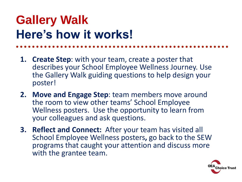## **Gallery Walk Here's how it works!**

- **1. Create Step**: with your team, create a poster that describes your School Employee Wellness Journey. Use the Gallery Walk guiding questions to help design your poster!
- **2. Move and Engage Step**: team members move around the room to view other teams' School Employee Wellness posters. Use the opportunity to learn from your colleagues and ask questions.
- **3. Reflect and Connect:** After your team has visited all School Employee Wellness posters**,** go back to the SEW programs that caught your attention and discuss more with the grantee team.

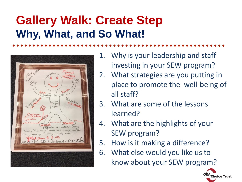## **Gallery Walk: Create Step Why, What, and So What!**



- 1. Why is your leadership and staff investing in your SEW program?
- 2. What strategies are you putting in place to promote the well-being of all staff?
- 3. What are some of the lessons learned?
- 4. What are the highlights of your SEW program?
- 5. How is it making a difference?
- 6. What else would you like us to know about your SEW program?

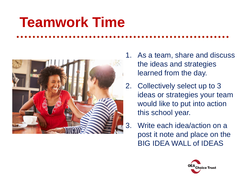# **Teamwork Time**



- 1. As a team, share and discuss the ideas and strategies learned from the day.
- 2. Collectively select up to 3 ideas or strategies your team would like to put into action this school year.
- 3. Write each idea/action on a post it note and place on the BIG IDEA WALL of IDEAS